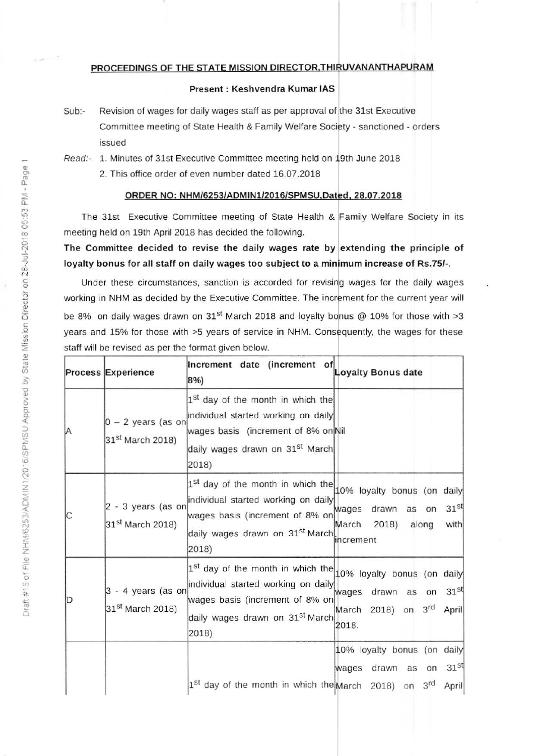## PROCEEDINGS OF THE STATE MISSION DIRECTOR, THIRUVANANTHAPURAM

## Present : Keshvendra Kumar IAS

Sub:- Revision of wages for daily wages staff as per approval of the 31st Executive Committee meeting of State Health & Family Welfare Society - sanctioned - orders issued

Read:- 1. Minutes of 31st Executive Committee meeting held on 19th June 2018 2. This office order of even number dated 16.07.2018

## oRDER NO: NHM/6253/ADMtNl/2016/5PMSU.Dared. 28,07,2018

The 31st Executive Committee meeting of State Health & Family welfare Society in its meeting held on 19th April 2018 has decided the following.

The Committee decided to revise the daily wages rate by extending the principle of loyalty bonus for all staff on daily wages too subject to a minimum increase of Rs.75/-.

Under these circumstances, sanction is accorded for revising wages for the daily wages working in NHM as decided by the Executive Committee. The increment for the current year will be 8% on daily wages drawn on 31<sup>st</sup> March 2018 and loyalty bonus @ 10% for those with >3 years and 15% for those with >5 years of service in NHM. Consequently, the wages for these statf will be revised as per the format given below.

|   | Process Experience                                   | Increment date (increment of<br>8%)                                                                                                                                                                     | Loyalty Bonus date                                                                                                      |
|---|------------------------------------------------------|---------------------------------------------------------------------------------------------------------------------------------------------------------------------------------------------------------|-------------------------------------------------------------------------------------------------------------------------|
| Α | $0 - 2$ years (as on<br>31 <sup>st</sup> March 2018) | 1 <sup>st</sup> day of the month in which the<br>individual started working on daily<br>wages basis (increment of 8% on Nil<br>daily wages drawn on 31 <sup>st</sup> March<br>2018)                     |                                                                                                                         |
| Ċ | 2 - 3 years (as on<br>$31st$ March 2018)             | 1 <sup>st</sup> day of the month in which the<br>individual started working on daily<br>wages basis (increment of 8% on<br>daily wages drawn on 31st March<br>2018)                                     | 10% loyalty bonus (on<br>daily<br>31 <sup>st</sup><br>wages drawn as on<br>March<br>2018)<br>with<br>along<br>increment |
| D | $3 - 4$ years (as on<br>31 <sup>st</sup> March 2018) | $1^{st}$ day of the month in which the $10\%$ loyalty bonus (on daily<br>individual started working on daily<br>wages basis (increment of 8% on<br>daily wages drawn on 31 <sup>st</sup> March<br>2018) | 31 <sup>st</sup><br>wages drawn as on<br>March 2018) on 3rd<br>April<br>2018.                                           |
|   |                                                      |                                                                                                                                                                                                         | 10% loyalty bonus (on daily<br>31 <sup>st</sup><br>wages drawn as<br>on                                                 |
|   |                                                      | 1st day of the month in which the March 2018) on                                                                                                                                                        | 3 <sup>rd</sup><br>April                                                                                                |